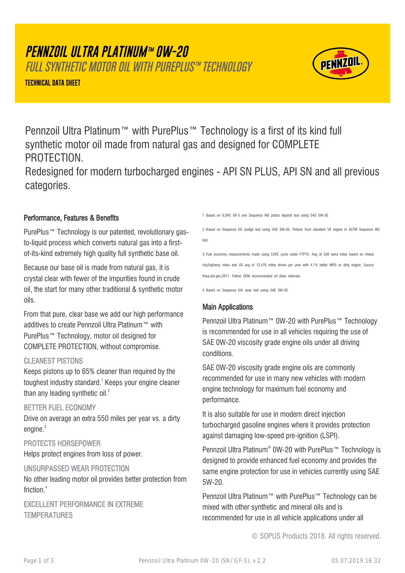# **PENNZOIL ULTRA PLATINUM™ 0W-20**

FULL SYNTHETIC MOTOR OIL WITH PUREPLUS™ TECHNOLOGY

**TECHNICAL DATA SHEET**



Pennzoil Ultra Platinum™ with PurePlus™ Technology is a first of its kind full synthetic motor oil made from natural gas and designed for COMPLETE PROTECTION.

Redesigned for modern turbocharged engines - API SN PLUS, API SN and all previous categories.

# Performance, Features & Benefits

PurePlus™ Technology is our patented, revolutionary gasto-liquid process which converts natural gas into a firstof-its-kind extremely high quality full synthetic base oil.

Because our base oil is made from natural gas, it is crystal clear with fewer of the impurities found in crude oil, the start for many other traditional & synthetic motor oils.

From that pure, clear base we add our high performance additives to create Pennzoil Ultra Platinum™ with PurePlus™ Technology, motor oil designed for COMPLETE PROTECTION, without compromise.

## CLEANEST PISTONS

Keeps pistons up to 65% cleaner than required by the toughest industry standard.<sup>1</sup> Keeps your engine cleaner than any leading synthetic oil.<sup>2</sup>

## BETTER FUEL ECONOMY

Drive on average an extra 550 miles per year vs. a dirty engine.<sup>3</sup>

## PROTECTS HORSEPOWER

Helps protect engines from loss of power.

#### UNSURPASSED WEAR PROTECTION

No other leading motor oil provides better protection from friction.<sup>4</sup>

# EXCELLENT PERFORMANCE IN EXTREME **TEMPERATURES**

1 Based on ILSAC GF-5 and Sequence IIIG piston deposit test using SAE 5W-30.

2 Based on Sequence VG sludge test using SAE 5W-30. Pistons from standard V6 engine in ASTM Sequence IIIG test.

3 Fuel economy measurements made using CAFÉ cycle under FTP75. Avg of 550 extra miles based on mixed city/highway miles and US avg of 13,476 miles driven per year with 4.1% better MPG vs dirty engine. Source fhwa.dot.gov,2011. Follow OEM recommended oil drain intervals.

4 Based on Sequence IVA wear test using SAE 5W-30.

# Main Applications

Pennzoil Ultra Platinum™ 0W-20 with PurePlus™ Technology is recommended for use in all vehicles requiring the use of SAE 0W-20 viscosity grade engine oils under all driving conditions.

SAE 0W-20 viscosity grade engine oils are commonly recommended for use in many new vehicles with modern engine technology for maximum fuel economy and performance.

It is also suitable for use in modern direct injection turbocharged gasoline engines where it provides protection against damaging low-speed pre-ignition (LSPI).

Pennzoil Ultra Platinum® 0W-20 with PurePlus™ Technology is designed to provide enhanced fuel economy and provides the same engine protection for use in vehicles currently using SAE 5W-20.

Pennzoil Ultra Platinum™ with PurePlus™ Technology can be mixed with other synthetic and mineral oils and is recommended for use in all vehicle applications under all

© SOPUS Products 2018. All rights reserved.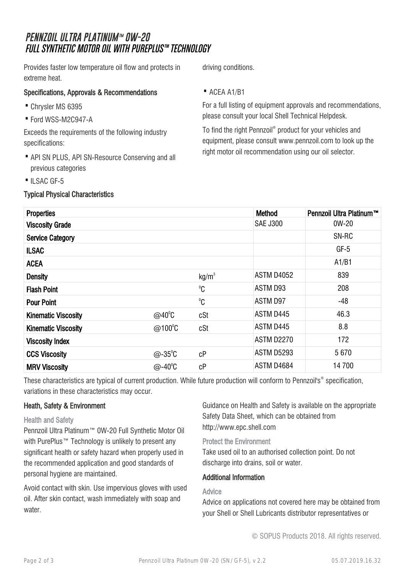# **PENNZOIL ULTRA PLATINUM™ 0W-20** FULL SYNTHETIC MOTOR OIL WITH PUREPLUS™ TECHNOLOGY

Provides faster low temperature oil flow and protects in extreme heat.

# Specifications, Approvals & Recommendations

- · Chrysler MS 6395
- · Ford WSS-M2C947-A

Exceeds the requirements of the following industry specifications:

- API SN PLUS, API SN-Resource Conserving and all previous categories
- ILSAC GF-5

# Typical Physical Characteristics

driving conditions.

## · ACEA A1/B1

For a full listing of equipment approvals and recommendations, please consult your local Shell Technical Helpdesk.

To find the right Pennzoil® product for your vehicles and equipment, please consult www.pennzoil.com to look up the right motor oil recommendation using our oil selector.

| <b>Properties</b>          |                   |                   | <b>Method</b>     | Pennzoil Ultra Platinum™ |
|----------------------------|-------------------|-------------------|-------------------|--------------------------|
| <b>Viscosity Grade</b>     |                   |                   | <b>SAE J300</b>   | 0W-20                    |
| <b>Service Category</b>    |                   |                   |                   | SN-RC                    |
| <b>ILSAC</b>               |                   |                   |                   | $GF-5$                   |
| <b>ACEA</b>                |                   |                   |                   | A1/B1                    |
| <b>Density</b>             |                   | kg/m <sup>3</sup> | ASTM D4052        | 839                      |
| <b>Flash Point</b>         |                   | $^0C$             | ASTM D93          | 208                      |
| <b>Pour Point</b>          |                   | $^0C$             | ASTM D97          | $-48$                    |
| <b>Kinematic Viscosity</b> | $@40^{\circ}C$    | cSt               | ASTM D445         | 46.3                     |
| <b>Kinematic Viscosity</b> | @100 $^{\circ}$ C | cSt               | ASTM D445         | 8.8                      |
| <b>Viscosity Index</b>     |                   |                   | <b>ASTM D2270</b> | 172                      |
| <b>CCS Viscosity</b>       | $@ - 35^{\circ}C$ | cP                | ASTM D5293        | 5670                     |
| <b>MRV Viscosity</b>       | $@-40^{\circ}C$   | сP                | ASTM D4684        | 14700                    |

These characteristics are typical of current production. While future production will conform to Pennzoil's® specification, variations in these characteristics may occur.

# Heath, Safety & Environment

#### Health and Safety

Pennzoil Ultra Platinum™ 0W-20 Full Synthetic Motor Oil with PurePlus™ Technology is unlikely to present any significant health or safety hazard when properly used in the recommended application and good standards of personal hygiene are maintained.

Avoid contact with skin. Use impervious gloves with used oil. After skin contact, wash immediately with soap and water.

Guidance on Health and Safety is available on the appropriate Safety Data Sheet, which can be obtained from http://www.epc.shell.com

#### Protect the Environment

Take used oil to an authorised collection point. Do not discharge into drains, soil or water.

## Additional Information

## Advice

Advice on applications not covered here may be obtained from your Shell or Shell Lubricants distributor representatives or

© SOPUS Products 2018. All rights reserved.